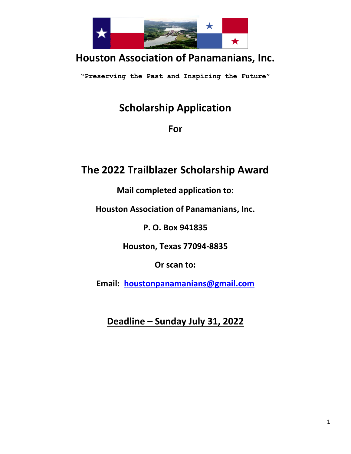

## **Houston Association of Panamanians, Inc.**

**"Preserving the Past and Inspiring the Future"**

## **Scholarship Application**

**For** 

## **The 2022 Trailblazer Scholarship Award**

**Mail completed application to:**

**Houston Association of Panamanians, Inc.**

**P. O. Box 941835**

**Houston, Texas 77094-8835**

**Or scan to:**

**Email: [houstonpanamanians@gmail.com](mailto:houstonpanamanians@gmail.com)**

**Deadline – Sunday July 31, 2022**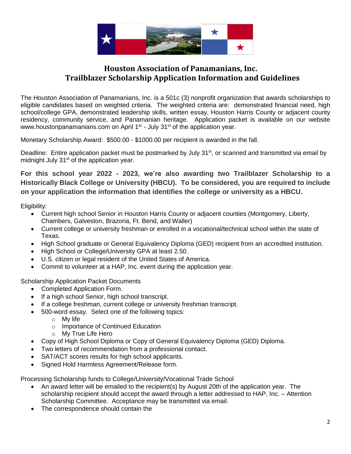

#### **Houston Association of Panamanians, Inc. Trailblazer Scholarship Application Information and Guidelines**

The Houston Association of Panamanians, Inc. is a 501c (3) nonprofit organization that awards scholarships to eligible candidates based on weighted criteria. The weighted criteria are: demonstrated financial need, high school/college GPA, demonstrated leadership skills, written essay, Houston Harris County or adjacent county residency, community service, and Panamanian heritage. Application packet is available on our website [www.houstonpanamanians.com](http://www.houstonpanamanianscom/) on April 1<sup>st</sup> - July 31<sup>st</sup> of the application year.

Monetary Scholarship Award: \$500.00 - \$1000.00 per recipient is awarded in the fall.

Deadline: Entire application packet must be postmarked by July 31<sup>st</sup>, or scanned and transmitted via email by midnight July  $31<sup>st</sup>$  of the application year.

**For this school year 2022 - 2023, we're also awarding two Trailblazer Scholarship to a Historically Black College or University (HBCU). To be considered, you are required to include on your application the information that identifies the college or university as a HBCU.** 

Eligibility:

- Current high school Senior in Houston Harris County or adjacent counties (Montgomery, Liberty, Chambers, Galveston, Brazoria, Ft. Bend, and Waller)
- Current college or university freshman or enrolled in a vocational/technical school within the state of Texas.
- High School graduate or General Equivalency Diploma (GED) recipient from an accredited institution.
- High School or College/University GPA at least 2.50.
- U.S. citizen or legal resident of the United States of America.
- Commit to volunteer at a HAP, Inc. event during the application year.

Scholarship Application Packet Documents

- Completed Application Form.
- If a high school Senior, high school transcript.
- If a college freshman, current college or university freshman transcript.
- 500-word essay. Select one of the following topics:
	- o My life
		- o Importance of Continued Education
		- o My True Life Hero
- Copy of High School Diploma or Copy of General Equivalency Diploma (GED) Diploma.
- Two letters of recommendation from a professional contact.
- SAT/ACT scores results for high school applicants.
- Signed Hold Harmless Agreement/Release form.

Processing Scholarship funds to College/University/Vocational Trade School

- An award letter will be emailed to the recipient(s) by August 20th of the application year. The scholarship recipient should accept the award through a letter addressed to HAP, Inc. – Attention Scholarship Committee. Acceptance may be transmitted via email.
- The correspondence should contain the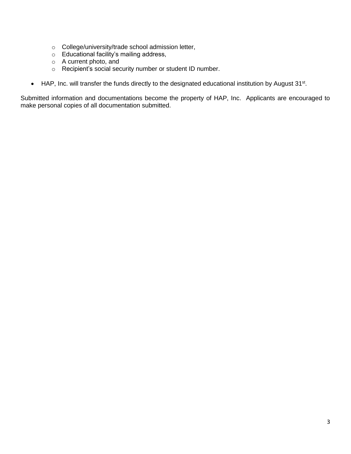- o College/university/trade school admission letter,
- o Educational facility's mailing address,
- o A current photo, and
- o Recipient's social security number or student ID number.
- $\bullet$  HAP, Inc. will transfer the funds directly to the designated educational institution by August 31<sup>st</sup>.

Submitted information and documentations become the property of HAP, Inc. Applicants are encouraged to make personal copies of all documentation submitted.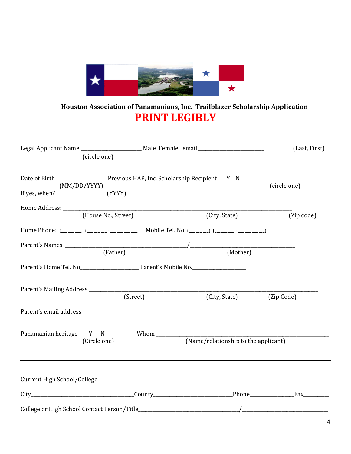

### **Houston Association of Panamanians, Inc. Trailblazer Scholarship Application PRINT LEGIBLY**

|                         | (circle one)        | Legal Applicant Name _______________________ Male Female email _________________                                          |                                      |               |              | (Last, First)               |
|-------------------------|---------------------|---------------------------------------------------------------------------------------------------------------------------|--------------------------------------|---------------|--------------|-----------------------------|
|                         | (MM/DD/YYYY)        | Date of Birth _________________________Previous HAP, Inc. Scholarship Recipient Y N                                       |                                      |               | (circle one) |                             |
|                         |                     |                                                                                                                           |                                      |               |              |                             |
|                         | (House No., Street) |                                                                                                                           |                                      | (City, State) |              | (Zip code)                  |
|                         |                     | Home Phone: $(\_\_ \_) (\_\_ \_ \_ \_ \_ \_ \_ \_ \_ \_ )$ Mobile Tel. No. $(\_\_ \_ \_ \_ \_ \_ \_ \_ \_ \_ \_ \_ \_ \_$ |                                      |               |              |                             |
|                         | (Father)            |                                                                                                                           |                                      | (Mother)      |              |                             |
|                         |                     |                                                                                                                           |                                      |               |              |                             |
|                         |                     | (Street)                                                                                                                  |                                      | (City, State) | (Zip Code)   |                             |
|                         |                     |                                                                                                                           |                                      |               |              |                             |
| Panamanian heritage Y N | (Circle one)        | Whom $\_\_$                                                                                                               | (Name/relationship to the applicant) |               |              |                             |
|                         |                     |                                                                                                                           |                                      |               |              |                             |
|                         |                     |                                                                                                                           |                                      |               |              | Fax The Contract of the Tax |
|                         |                     |                                                                                                                           |                                      |               |              |                             |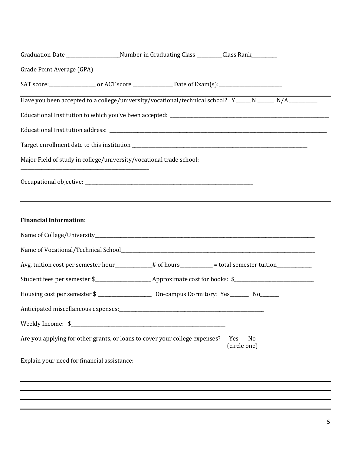|                                             |                                                                     | Graduation Date _______________________Number in Graduating Class _________Class Rank_________                 |                     |                                                                                                           |
|---------------------------------------------|---------------------------------------------------------------------|----------------------------------------------------------------------------------------------------------------|---------------------|-----------------------------------------------------------------------------------------------------------|
|                                             |                                                                     |                                                                                                                |                     |                                                                                                           |
|                                             |                                                                     | SAT score:______________________ or ACT score __________________ Date of Exam(s):_____________________________ |                     |                                                                                                           |
|                                             |                                                                     |                                                                                                                |                     | Have you been accepted to a college/university/vocational/technical school? Y _____ N _____ N/A _________ |
|                                             |                                                                     |                                                                                                                |                     |                                                                                                           |
|                                             |                                                                     |                                                                                                                |                     |                                                                                                           |
|                                             |                                                                     |                                                                                                                |                     |                                                                                                           |
|                                             | Major Field of study in college/university/vocational trade school: |                                                                                                                |                     |                                                                                                           |
|                                             |                                                                     |                                                                                                                |                     |                                                                                                           |
| <b>Financial Information:</b>               |                                                                     |                                                                                                                |                     |                                                                                                           |
|                                             |                                                                     |                                                                                                                |                     |                                                                                                           |
|                                             |                                                                     |                                                                                                                |                     |                                                                                                           |
|                                             |                                                                     | Avg. tuition cost per semester hour_________# of hours_________ = total semester tuition_________              |                     |                                                                                                           |
|                                             |                                                                     |                                                                                                                |                     |                                                                                                           |
|                                             |                                                                     |                                                                                                                |                     |                                                                                                           |
|                                             |                                                                     | Anticipated miscellaneous expenses:<br><u> </u>                                                                |                     |                                                                                                           |
|                                             |                                                                     |                                                                                                                |                     |                                                                                                           |
|                                             |                                                                     | Are you applying for other grants, or loans to cover your college expenses?                                    | Yes<br>(circle one) | N <sub>o</sub>                                                                                            |
| Explain your need for financial assistance: |                                                                     |                                                                                                                |                     |                                                                                                           |
|                                             |                                                                     |                                                                                                                |                     |                                                                                                           |
|                                             |                                                                     |                                                                                                                |                     |                                                                                                           |
|                                             |                                                                     |                                                                                                                |                     |                                                                                                           |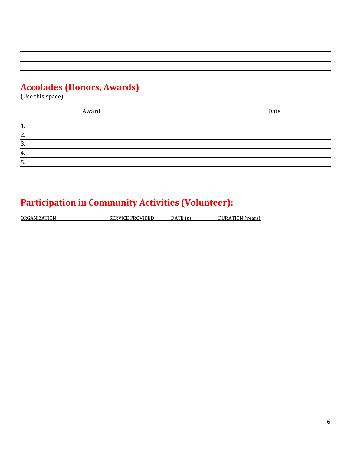# **Accolades (Honors, Awards)**<br>(Use this space)

|              | Award | Date |
|--------------|-------|------|
|              |       |      |
| ົາ           |       |      |
| ി<br>$\cdot$ |       |      |
| $\mathbf{4}$ |       |      |
|              |       |      |

## **Participation in Community Activities (Volunteer):**

| ORGANIZATION | SERVICE PROVIDED | DATE(s) | DURATION (years) |
|--------------|------------------|---------|------------------|
|              |                  |         |                  |
|              |                  |         |                  |
|              |                  |         |                  |
|              |                  |         |                  |
|              |                  |         |                  |
|              |                  |         |                  |
|              |                  |         |                  |
|              |                  |         |                  |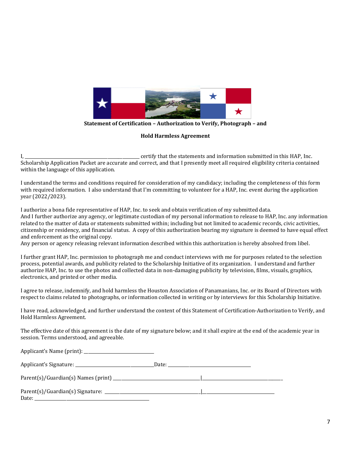

**Statement of Certification – Authorization to Verify, Photograph – and**

**Hold Harmless Agreement**

I, \_\_\_\_\_\_\_\_\_\_\_\_\_\_\_\_\_\_\_\_\_\_\_\_\_\_\_\_\_\_\_\_\_\_\_\_\_\_\_\_\_\_\_\_\_\_\_\_\_\_\_\_\_\_ certify that the statements and information submitted in this HAP, Inc. Scholarship Application Packet are accurate and correct, and that I presently meet all required eligibility criteria contained within the language of this application.

I understand the terms and conditions required for consideration of my candidacy; including the completeness of this form with required information. I also understand that I'm committing to volunteer for a HAP, Inc. event during the application year (2022/2023).

I authorize a bona fide representative of HAP, Inc. to seek and obtain verification of my submitted data. And I further authorize any agency, or legitimate custodian of my personal information to release to HAP, Inc. any information related to the matter of data or statements submitted within; including but not limited to academic records, civic activities, citizenship or residency, and financial status. A copy of this authorization bearing my signature is deemed to have equal effect and enforcement as the original copy.

Any person or agency releasing relevant information described within this authorization is hereby absolved from libel.

I further grant HAP, Inc. permission to photograph me and conduct interviews with me for purposes related to the selection process, potential awards, and publicity related to the Scholarship Initiative of its organization. I understand and further authorize HAP, Inc. to use the photos and collected data in non-damaging publicity by television, films, visuals, graphics, electronics, and printed or other media.

I agree to release, indemnify, and hold harmless the Houston Association of Panamanians, Inc. or its Board of Directors with respect to claims related to photographs, or information collected in writing or by interviews for this Scholarship Initiative.

I have read, acknowledged, and further understand the content of this Statement of Certification-Authorization to Verify, and Hold Harmless Agreement.

The effective date of this agreement is the date of my signature below; and it shall expire at the end of the academic year in session. Terms understood, and agreeable.